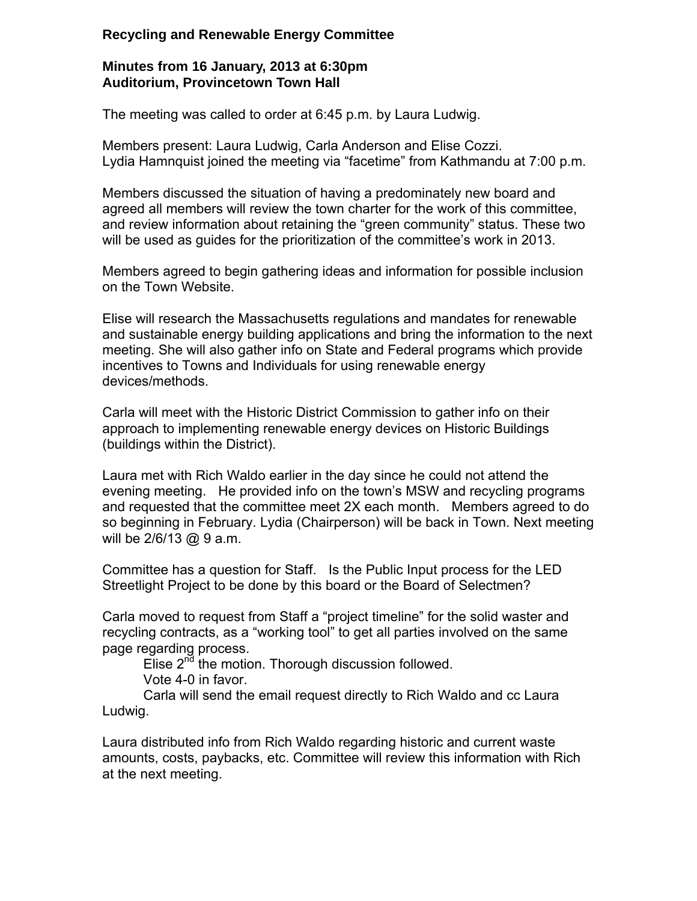## **Recycling and Renewable Energy Committee**

## **Minutes from 16 January, 2013 at 6:30pm Auditorium, Provincetown Town Hall**

The meeting was called to order at 6:45 p.m. by Laura Ludwig.

Members present: Laura Ludwig, Carla Anderson and Elise Cozzi. Lydia Hamnquist joined the meeting via "facetime" from Kathmandu at 7:00 p.m.

Members discussed the situation of having a predominately new board and agreed all members will review the town charter for the work of this committee, and review information about retaining the "green community" status. These two will be used as guides for the prioritization of the committee's work in 2013.

Members agreed to begin gathering ideas and information for possible inclusion on the Town Website.

Elise will research the Massachusetts regulations and mandates for renewable and sustainable energy building applications and bring the information to the next meeting. She will also gather info on State and Federal programs which provide incentives to Towns and Individuals for using renewable energy devices/methods.

Carla will meet with the Historic District Commission to gather info on their approach to implementing renewable energy devices on Historic Buildings (buildings within the District).

Laura met with Rich Waldo earlier in the day since he could not attend the evening meeting. He provided info on the town's MSW and recycling programs and requested that the committee meet 2X each month. Members agreed to do so beginning in February. Lydia (Chairperson) will be back in Town. Next meeting will be 2/6/13 @ 9 a.m.

Committee has a question for Staff. Is the Public Input process for the LED Streetlight Project to be done by this board or the Board of Selectmen?

Carla moved to request from Staff a "project timeline" for the solid waster and recycling contracts, as a "working tool" to get all parties involved on the same page regarding process.

Elise  $2^{n\bar{d}}$  the motion. Thorough discussion followed. Vote 4-0 in favor.

Carla will send the email request directly to Rich Waldo and cc Laura Ludwig.

Laura distributed info from Rich Waldo regarding historic and current waste amounts, costs, paybacks, etc. Committee will review this information with Rich at the next meeting.